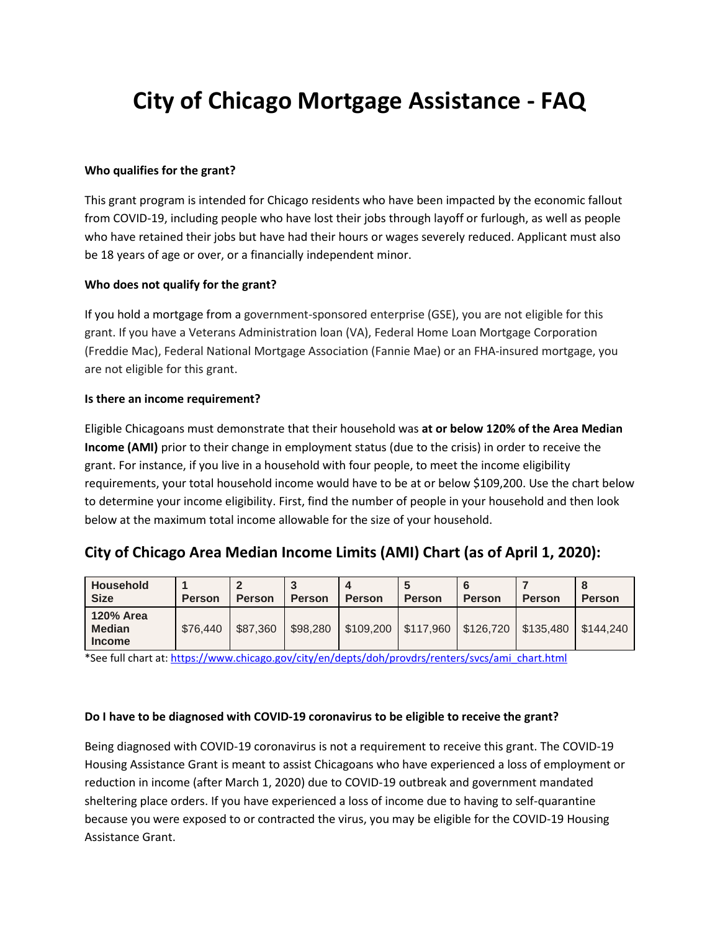# **City of Chicago Mortgage Assistance - FAQ**

#### **Who qualifies for the grant?**

This grant program is intended for Chicago residents who have been impacted by the economic fallout from COVID-19, including people who have lost their jobs through layoff or furlough, as well as people who have retained their jobs but have had their hours or wages severely reduced. Applicant must also be 18 years of age or over, or a financially independent minor.

## **Who does not qualify for the grant?**

If you hold a mortgage from a government-sponsored enterprise (GSE), you are not eligible for this grant. If you have a Veterans Administration loan (VA), Federal Home Loan Mortgage Corporation (Freddie Mac), Federal National Mortgage Association (Fannie Mae) or an FHA-insured mortgage, you are not eligible for this grant.

#### **Is there an income requirement?**

Eligible Chicagoans must demonstrate that their household was **at or below 120% of the Area Median Income (AMI)** prior to their change in employment status (due to the crisis) in order to receive the grant. For instance, if you live in a household with four people, to meet the income eligibility requirements, your total household income would have to be at or below \$109,200. Use the chart below to determine your income eligibility. First, find the number of people in your household and then look below at the maximum total income allowable for the size of your household.

# **City of Chicago Area Median Income Limits (AMI) Chart (as of April 1, 2020):**

| <b>Household</b><br><b>Size</b>                    | <b>Person</b> | <b>Person</b> | <b>Person</b> | <b>Person</b> | <b>Person</b> | <b>Person</b> | <b>Person</b> | <b>Person</b> |
|----------------------------------------------------|---------------|---------------|---------------|---------------|---------------|---------------|---------------|---------------|
| <b>120% Area</b><br><b>Median</b><br><b>Income</b> | \$76,440      | \$87,360      | \$98,280      | \$109,200     | \$117,960     | \$126,720     | \$135,480     | \$144.240     |

\*See full chart at[: https://www.chicago.gov/city/en/depts/doh/provdrs/renters/svcs/ami\\_chart.html](https://www.chicago.gov/city/en/depts/doh/provdrs/renters/svcs/ami_chart.html)

## **Do I have to be diagnosed with COVID-19 coronavirus to be eligible to receive the grant?**

Being diagnosed with COVID-19 coronavirus is not a requirement to receive this grant. The COVID-19 Housing Assistance Grant is meant to assist Chicagoans who have experienced a loss of employment or reduction in income (after March 1, 2020) due to COVID-19 outbreak and government mandated sheltering place orders. If you have experienced a loss of income due to having to self-quarantine because you were exposed to or contracted the virus, you may be eligible for the COVID-19 Housing Assistance Grant.